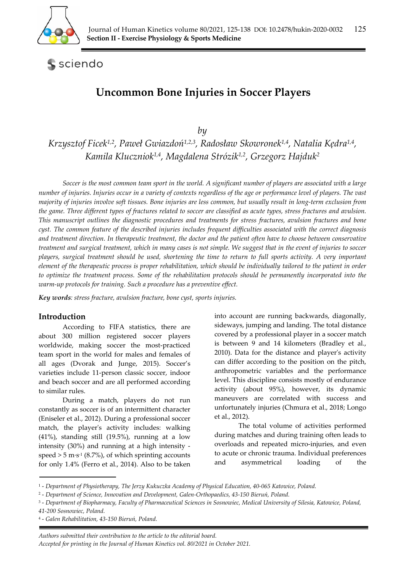

sciendo

# **Uncommon Bone Injuries in Soccer Players**

*by* 

*Krzysztof Ficek1,2, Paweł Gwiazdoń1,2,3, Radosław Skowronek1,4, Natalia Kędra1,4, Kamila Kluczniok1,4, Magdalena Strózik1,2, Grzegorz Hajduk2*

*Soccer is the most common team sport in the world. A significant number of players are associated with a large number of injuries. Injuries occur in a variety of contexts regardless of the age or performance level of players. The vast majority of injuries involve soft tissues. Bone injuries are less common, but usually result in long-term exclusion from the game. Three different types of fractures related to soccer are classified as acute types, stress fractures and avulsion. This manuscript outlines the diagnostic procedures and treatments for stress fractures, avulsion fractures and bone cyst. The common feature of the described injuries includes frequent difficulties associated with the correct diagnosis and treatment direction. In therapeutic treatment, the doctor and the patient often have to choose between conservative treatment and surgical treatment, which in many cases is not simple. We suggest that in the event of injuries to soccer players, surgical treatment should be used, shortening the time to return to full sports activity. A very important element of the therapeutic process is proper rehabilitation, which should be individually tailored to the patient in order to optimize the treatment process. Some of the rehabilitation protocols should be permanently incorporated into the warm-up protocols for training. Such a procedure has a preventive effect.* 

*Key words: stress fracture, avulsion fracture, bone cyst, sports injuries.* 

## **Introduction**

According to FIFA statistics, there are about 300 million registered soccer players worldwide, making soccer the most-practiced team sport in the world for males and females of all ages (Dvorak and Junge, 2015). Soccer's varieties include 11-person classic soccer, indoor and beach soccer and are all performed according to similar rules.

During a match, players do not run constantly as soccer is of an intermittent character (Eniseler et al., 2012). During a professional soccer match, the player's activity includes: walking (41%), standing still (19.5%), running at a low intensity (30%) and running at a high intensity speed  $> 5$  m·s<sup>-1</sup> (8.7%), of which sprinting accounts for only 1.4% (Ferro et al., 2014). Also to be taken

into account are running backwards, diagonally, sideways, jumping and landing. The total distance covered by a professional player in a soccer match is between 9 and 14 kilometers (Bradley et al., 2010). Data for the distance and player's activity can differ according to the position on the pitch, anthropometric variables and the performance level. This discipline consists mostly of endurance activity (about 95%), however, its dynamic maneuvers are correlated with success and unfortunately injuries (Chmura et al., 2018; Longo et al., 2012).

The total volume of activities performed during matches and during training often leads to overloads and repeated micro-injuries, and even to acute or chronic trauma. Individual preferences and asymmetrical loading of the

<sup>1 -</sup> *Department of Physiotherapy, The Jerzy Kukuczka Academy of Physical Education, 40-065 Katowice, Poland.* 

<sup>2 -</sup> *Department of Science, Innovation and Development, Galen-Orthopaedics, 43-150 Bieruń, Poland.* 

<sup>3 -</sup> *Department of Biopharmacy, Faculty of Pharmaceutical Sciences in Sosnowiec, Medical University of Silesia, Katowice, Poland,* 

*<sup>41-200</sup> Sosnowiec, Poland.* 

<sup>4 -</sup> *Galen Rehabilitation, 43-150 Bieruń, Poland.*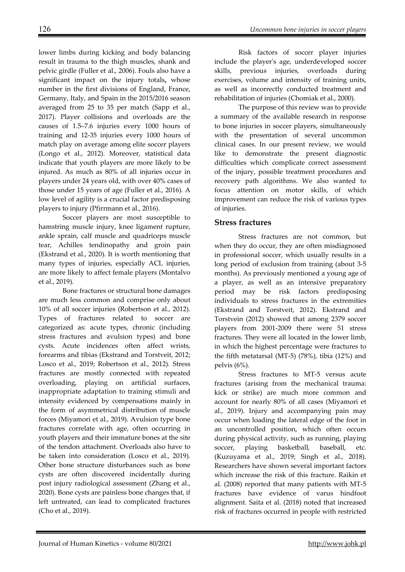lower limbs during kicking and body balancing result in trauma to the thigh muscles, shank and pelvic girdle (Fuller et al., 2006). Fouls also have a significant impact on the injury totals**,** whose number in the first divisions of England, France, Germany, Italy, and Spain in the 2015/2016 season averaged from 25 to 35 per match (Sapp et al., 2017). Player collisions and overloads are the causes of 1.5–7.6 injuries every 1000 hours of training and 12-35 injuries every 1000 hours of match play on average among elite soccer players (Longo et al., 2012). Moreover, statistical data indicate that youth players are more likely to be injured. As much as 80% of all injuries occur in players under 24 years old, with over 40% cases of those under 15 years of age (Fuller et al., 2016). A low level of agility is a crucial factor predisposing players to injury (Pfirrmann et al., 2016).

Soccer players are most susceptible to hamstring muscle injury, knee ligament rupture, ankle sprain, calf muscle and quadriceps muscle tear, Achilles tendinopathy and groin pain (Ekstrand et al., 2020). It is worth mentioning that many types of injuries, especially ACL injuries, are more likely to affect female players (Montalvo et al., 2019).

Bone fractures or structural bone damages are much less common and comprise only about 10% of all soccer injuries (Robertson et al., 2012). Types of fractures related to soccer are categorized as: acute types, chronic (including stress fractures and avulsion types) and bone cysts. Acute incidences often affect wrists, forearms and tibias (Ekstrand and Torstveit, 2012; Losco et al., 2019; Robertson et al., 2012). Stress fractures are mostly connected with repeated overloading, playing on artificial surfaces, inappropriate adaptation to training stimuli and intensity evidenced by compensations mainly in the form of asymmetrical distribution of muscle forces (Miyamori et al., 2019). Avulsion type bone fractures correlate with age, often occurring in youth players and their immature bones at the site of the tendon attachment. Overloads also have to be taken into consideration (Losco et al., 2019). Other bone structure disturbances such as bone cysts are often discovered incidentally during post injury radiological assessment (Zhang et al., 2020). Bone cysts are painless bone changes that, if left untreated, can lead to complicated fractures (Cho et al., 2019).

The purpose of this review was to provide a summary of the available research in response to bone injuries in soccer players, simultaneously with the presentation of several uncommon clinical cases. In our present review, we would like to demonstrate the present diagnostic difficulties which complicate correct assessment of the injury, possible treatment procedures and recovery path algorithms. We also wanted to focus attention on motor skills, of which improvement can reduce the risk of various types of injuries.

## **Stress fractures**

Stress fractures are not common, but when they do occur, they are often misdiagnosed in professional soccer, which usually results in a long period of exclusion from training (about 3-5 months). As previously mentioned a young age of a player, as well as an intensive preparatory period may be risk factors predisposing individuals to stress fractures in the extremities (Ekstrand and Torstveit, 2012). Ekstrand and Torstvein (2012) showed that among 2379 soccer players from 2001-2009 there were 51 stress fractures. They were all located in the lower limb, in which the highest percentage were fractures to the fifth metatarsal (MT-5) (78%), tibia (12%) and pelvis (6%).

Stress fractures to MT-5 versus acute fractures (arising from the mechanical trauma: kick or strike) are much more common and account for nearly 80% of all cases (Miyamori et al., 2019). Injury and accompanying pain may occur when loading the lateral edge of the foot in an uncontrolled position, which often occurs during physical activity, such as running, playing soccer, playing basketball, baseball, etc. (Kuzuyama et al., 2019; Singh et al., 2018). Researchers have shown several important factors which increase the risk of this fracture. Raikin et al. (2008) reported that many patients with MT-5 fractures have evidence of varus hindfoot alignment. Saita et al. (2018) noted that increased risk of fractures occurred in people with restricted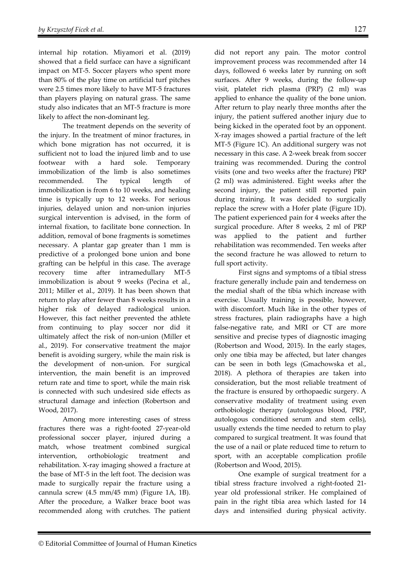internal hip rotation. Miyamori et al. (2019) showed that a field surface can have a significant impact on MT-5. Soccer players who spent more than 80% of the play time on artificial turf pitches were 2.5 times more likely to have MT-5 fractures than players playing on natural grass. The same study also indicates that an MT-5 fracture is more likely to affect the non-dominant leg.

The treatment depends on the severity of the injury. In the treatment of minor fractures, in which bone migration has not occurred, it is sufficient not to load the injured limb and to use footwear with a hard sole. Temporary immobilization of the limb is also sometimes recommended. The typical length of immobilization is from 6 to 10 weeks, and healing time is typically up to 12 weeks. For serious injuries, delayed union and non-union injuries surgical intervention is advised, in the form of internal fixation, to facilitate bone connection. In addition, removal of bone fragments is sometimes necessary. A plantar gap greater than 1 mm is predictive of a prolonged bone union and bone grafting can be helpful in this case. The average recovery time after intramedullary MT-5 immobilization is about 9 weeks (Pecina et al., 2011; Miller et al., 2019). It has been shown that return to play after fewer than 8 weeks results in a higher risk of delayed radiological union. However, this fact neither prevented the athlete from continuing to play soccer nor did it ultimately affect the risk of non-union (Miller et al., 2019). For conservative treatment the major benefit is avoiding surgery, while the main risk is the development of non-union. For surgical intervention, the main benefit is an improved return rate and time to sport, while the main risk is connected with such undesired side effects as structural damage and infection (Robertson and Wood, 2017).

Among more interesting cases of stress fractures there was a right-footed 27-year-old professional soccer player, injured during a match, whose treatment combined surgical intervention, orthobiologic treatment and rehabilitation. X-ray imaging showed a fracture at the base of MT-5 in the left foot. The decision was made to surgically repair the fracture using a cannula screw (4.5 mm/45 mm) (Figure 1A, 1B). After the procedure, a Walker brace boot was recommended along with crutches. The patient did not report any pain. The motor control improvement process was recommended after 14 days, followed 6 weeks later by running on soft surfaces. After 9 weeks, during the follow-up visit, platelet rich plasma (PRP) (2 ml) was applied to enhance the quality of the bone union. After return to play nearly three months after the injury, the patient suffered another injury due to being kicked in the operated foot by an opponent. X-ray images showed a partial fracture of the left MT-5 (Figure 1C). An additional surgery was not necessary in this case. A 2-week break from soccer training was recommended. During the control visits (one and two weeks after the fracture) PRP (2 ml) was administered. Eight weeks after the second injury, the patient still reported pain during training. It was decided to surgically replace the screw with a Hofer plate (Figure 1D). The patient experienced pain for 4 weeks after the surgical procedure. After 8 weeks, 2 ml of PRP was applied to the patient and further rehabilitation was recommended. Ten weeks after the second fracture he was allowed to return to full sport activity.

First signs and symptoms of a tibial stress fracture generally include pain and tenderness on the medial shaft of the tibia which increase with exercise. Usually training is possible, however, with discomfort. Much like in the other types of stress fractures, plain radiographs have a high false-negative rate, and MRI or CT are more sensitive and precise types of diagnostic imaging (Robertson and Wood, 2015). In the early stages, only one tibia may be affected, but later changes can be seen in both legs (Gmachowska et al., 2018). A plethora of therapies are taken into consideration, but the most reliable treatment of the fracture is ensured by orthopaedic surgery. A conservative modality of treatment using even orthobiologic therapy (autologous blood, PRP, autologous conditioned serum and stem cells), usually extends the time needed to return to play compared to surgical treatment. It was found that the use of a nail or plate reduced time to return to sport, with an acceptable complication profile (Robertson and Wood, 2015).

One example of surgical treatment for a tibial stress fracture involved a right-footed 21 year old professional striker. He complained of pain in the right tibia area which lasted for 14 days and intensified during physical activity.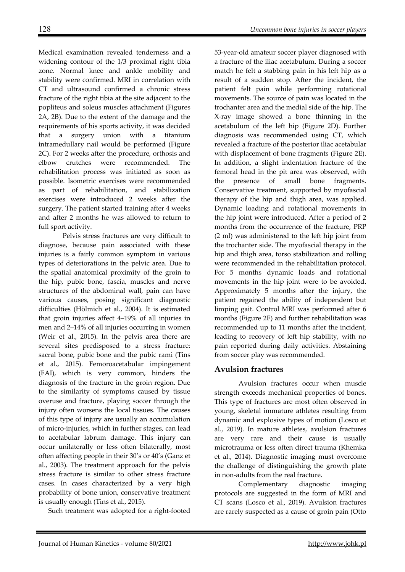Medical examination revealed tenderness and a widening contour of the 1/3 proximal right tibia zone. Normal knee and ankle mobility and stability were confirmed. MRI in correlation with CT and ultrasound confirmed a chronic stress fracture of the right tibia at the site adjacent to the popliteus and soleus muscles attachment (Figures 2A, 2B). Due to the extent of the damage and the requirements of his sports activity, it was decided that a surgery union with a titanium intramedullary nail would be performed (Figure 2C). For 2 weeks after the procedure, orthosis and elbow crutches were recommended. The rehabilitation process was initiated as soon as possible. Isometric exercises were recommended as part of rehabilitation, and stabilization exercises were introduced 2 weeks after the surgery. The patient started training after 4 weeks and after 2 months he was allowed to return to full sport activity.

Pelvis stress fractures are very difficult to diagnose, because pain associated with these injuries is a fairly common symptom in various types of deteriorations in the pelvic area. Due to the spatial anatomical proximity of the groin to the hip, pubic bone, fascia, muscles and nerve structures of the abdominal wall, pain can have various causes, posing significant diagnostic difficulties (Hölmich et al., 2004). It is estimated that groin injuries affect 4–19% of all injuries in men and 2–14% of all injuries occurring in women (Weir et al., 2015). In the pelvis area there are several sites predisposed to a stress fracture: sacral bone, pubic bone and the pubic rami (Tins et al., 2015). Femoroacetabular impingement (FAI), which is very common, hinders the diagnosis of the fracture in the groin region. Due to the similarity of symptoms caused by tissue overuse and fracture, playing soccer through the injury often worsens the local tissues. The causes of this type of injury are usually an accumulation of micro-injuries, which in further stages, can lead to acetabular labrum damage. This injury can occur unilaterally or less often bilaterally, most often affecting people in their 30's or 40's (Ganz et al., 2003). The treatment approach for the pelvis stress fracture is similar to other stress fracture cases. In cases characterized by a very high probability of bone union, conservative treatment is usually enough (Tins et al., 2015).

Such treatment was adopted for a right-footed

53-year-old amateur soccer player diagnosed with a fracture of the iliac acetabulum. During a soccer match he felt a stabbing pain in his left hip as a result of a sudden stop. After the incident, the patient felt pain while performing rotational movements. The source of pain was located in the trochanter area and the medial side of the hip. The X-ray image showed a bone thinning in the acetabulum of the left hip (Figure 2D). Further diagnosis was recommended using CT, which revealed a fracture of the posterior iliac acetabular with displacement of bone fragments (Figure 2E). In addition, a slight indentation fracture of the femoral head in the pit area was observed, with the presence of small bone fragments. Conservative treatment, supported by myofascial therapy of the hip and thigh area, was applied. Dynamic loading and rotational movements in the hip joint were introduced. After a period of 2 months from the occurrence of the fracture, PRP (2 ml) was administered to the left hip joint from the trochanter side. The myofascial therapy in the hip and thigh area, torso stabilization and rolling were recommended in the rehabilitation protocol. For 5 months dynamic loads and rotational movements in the hip joint were to be avoided. Approximately 5 months after the injury, the patient regained the ability of independent but limping gait. Control MRI was performed after 6 months (Figure 2F) and further rehabilitation was recommended up to 11 months after the incident, leading to recovery of left hip stability, with no pain reported during daily activities. Abstaining from soccer play was recommended.

## **Avulsion fractures**

Avulsion fractures occur when muscle strength exceeds mechanical properties of bones. This type of fractures are most often observed in young, skeletal immature athletes resulting from dynamic and explosive types of motion (Losco et al., 2019). In mature athletes, avulsion fractures are very rare and their cause is usually microtrauma or less often direct trauma (Khemka et al., 2014). Diagnostic imaging must overcome the challenge of distinguishing the growth plate in non-adults from the real fracture.

Complementary diagnostic imaging protocols are suggested in the form of MRI and CT scans (Losco et al., 2019). Avulsion fractures are rarely suspected as a cause of groin pain (Otto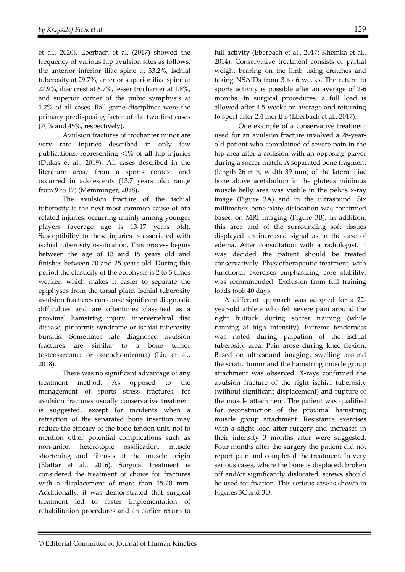et al., 2020). Eberbach et al. (2017) showed the frequency of various hip avulsion sites as follows: the anterior inferior iliac spine at 33.2%, ischial tuberosity at 29.7%, anterior superior iliac spine at 27.9%, iliac crest at 6.7%, lesser trochanter at 1.8%, and superior corner of the pubic symphysis at 1.2% of all cases. Ball game disciplines were the primary predisposing factor of the two first cases (70% and 45%, respectively).

Avulsion fractures of trochanter minor are very rare injuries described in only few publications, representing <1% of all hip injuries (Dukas et al., 2019). All cases described in the literature arose from a sports context and occurred in adolescents (13.7 years old; range from 9 to 17) (Memminger, 2018).

The avulsion fracture of the ischial tuberosity is the next most common cause of hip related injuries, occurring mainly among younger players (average age is 13-17 years old). Susceptibility to these injuries is associated with ischial tuberosity ossification. This process begins between the age of 13 and 15 years old and finishes between 20 and 25 years old. During this period the elasticity of the epiphysis is 2 to 5 times weaker, which makes it easier to separate the epiphyses from the tarsal plate. Ischial tuberosity avulsion fractures can cause significant diagnostic difficulties and are oftentimes classified as a proximal hamstring injury, intervertebral disc disease, piriformis syndrome or ischial tuberosity bursitis. Sometimes late diagnosed avulsion fractures are similar to a bone tumor (osteosarcoma or osteochondroma) (Liu et al., 2018).

There was no significant advantage of any treatment method. As opposed to the management of sports stress fractures, for avulsion fractures usually conservative treatment is suggested, except for incidents when a retraction of the separated bone insertion may reduce the efficacy of the bone-tendon unit, not to mention other potential complications such as non-union heterotopic ossification, muscle shortening and fibrosis at the muscle origin (Elattar et al., 2016). Surgical treatment is considered the treatment of choice for fractures with a displacement of more than 15-20 mm. Additionally, it was demonstrated that surgical treatment led to faster implementation of rehabilitation procedures and an earlier return to

full activity (Eberbach et al., 2017; Khemka et al., 2014). Conservative treatment consists of partial weight bearing on the limb using crutches and taking NSAIDs from 3 to 6 weeks. The return to sports activity is possible after an average of 2-6 months. In surgical procedures, a full load is allowed after 4.5 weeks on average and returning to sport after 2.4 months (Eberbach et al., 2017).

One example of a conservative treatment used for an avulsion fracture involved a 28-yearold patient who complained of severe pain in the hip area after a collision with an opposing player during a soccer match. A separated bone fragment (length 26 mm, width 39 mm) of the lateral iliac bone above acetabulum in the gluteus minimus muscle belly area was visible in the pelvis x-ray image (Figure 3A) and in the ultrasound. Six millimeters bone plate dislocation was confirmed based on MRI imaging (Figure 3B). In addition, this area and of the surrounding soft tissues displayed an increased signal as in the case of edema. After consultation with a radiologist, it was decided the patient should be treated conservatively. Physiotherapeutic treatment, with functional exercises emphasizing core stability, was recommended. Exclusion from full training loads took 40 days.

A different approach was adopted for a 22 year-old athlete who felt severe pain around the right buttock during soccer training (while running at high intensity). Extreme tenderness was noted during palpation of the ischial tuberosity area. Pain arose during knee flexion. Based on ultrasound imaging, swelling around the sciatic tumor and the hamstring muscle group attachment was observed. X-rays confirmed the avulsion fracture of the right ischial tuberosity (without significant displacement) and rupture of the muscle attachment. The patient was qualified for reconstruction of the proximal hamstring muscle group attachment. Resistance exercises with a slight load after surgery and increases in their intensity 3 months after were suggested. Four months after the surgery the patient did not report pain and completed the treatment. In very serious cases, where the bone is displaced, broken off and/or significantly dislocated, screws should be used for fixation. This serious case is shown in Figures 3C and 3D.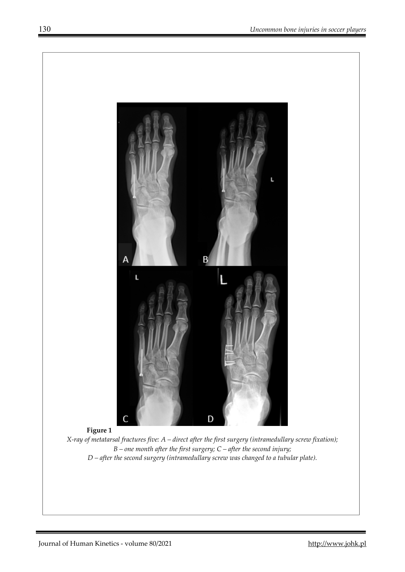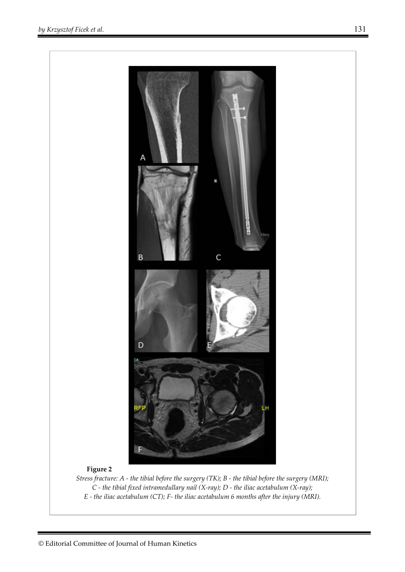

*E - the iliac acetabulum (CT); F- the iliac acetabulum 6 months after the injury (MRI).*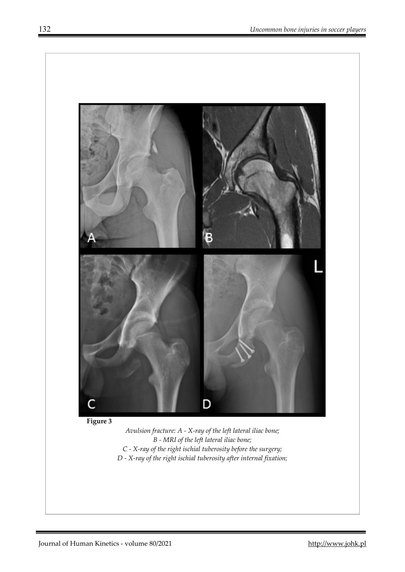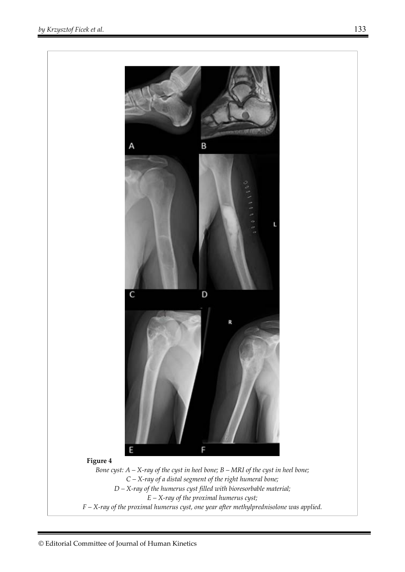

*C – X-ray of a distal segment of the right humeral bone; D – X-ray of the humerus cyst filled with bioresorbable material; E – X-ray of the proximal humerus cyst; F – X-ray of the proximal humerus cyst, one year after methylprednisolone was applied.*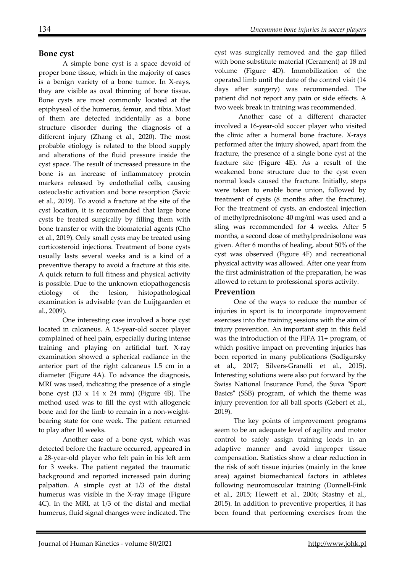## **Bone cyst**

A simple bone cyst is a space devoid of proper bone tissue, which in the majority of cases is a benign variety of a bone tumor. In X-rays, they are visible as oval thinning of bone tissue. Bone cysts are most commonly located at the epiphyseal of the humerus, femur, and tibia. Most of them are detected incidentally as a bone structure disorder during the diagnosis of a different injury (Zhang et al., 2020). The most probable etiology is related to the blood supply and alterations of the fluid pressure inside the cyst space. The result of increased pressure in the bone is an increase of inflammatory protein markers released by endothelial cells, causing osteoclastic activation and bone resorption (Savic et al., 2019). To avoid a fracture at the site of the cyst location, it is recommended that large bone cysts be treated surgically by filling them with bone transfer or with the biomaterial agents (Cho et al., 2019). Only small cysts may be treated using corticosteroid injections. Treatment of bone cysts usually lasts several weeks and is a kind of a preventive therapy to avoid a fracture at this site. A quick return to full fitness and physical activity is possible. Due to the unknown etiopathogenesis etiology of the lesion, histopathological examination is advisable (van de Luijtgaarden et al., 2009).

One interesting case involved a bone cyst located in calcaneus. A 15-year-old soccer player complained of heel pain, especially during intense training and playing on artificial turf. X-ray examination showed a spherical radiance in the anterior part of the right calcaneus 1.5 cm in a diameter (Figure 4A). To advance the diagnosis, MRI was used, indicating the presence of a single bone cyst  $(13 \times 14 \times 24 \text{ mm})$  (Figure 4B). The method used was to fill the cyst with allogeneic bone and for the limb to remain in a non-weightbearing state for one week. The patient returned to play after 10 weeks.

Another case of a bone cyst, which was detected before the fracture occurred, appeared in a 28-year-old player who felt pain in his left arm for 3 weeks. The patient negated the traumatic background and reported increased pain during palpation. A simple cyst at 1/3 of the distal humerus was visible in the X-ray image (Figure 4C). In the MRI, at 1/3 of the distal and medial humerus, fluid signal changes were indicated. The

cyst was surgically removed and the gap filled with bone substitute material (Cerament) at 18 ml volume (Figure 4D). Immobilization of the operated limb until the date of the control visit (14 days after surgery) was recommended. The patient did not report any pain or side effects. A two week break in training was recommended.

Another case of a different character involved a 16-year-old soccer player who visited the clinic after a humeral bone fracture. X-rays performed after the injury showed, apart from the fracture, the presence of a single bone cyst at the fracture site (Figure 4E). As a result of the weakened bone structure due to the cyst even normal loads caused the fracture. Initially, steps were taken to enable bone union, followed by treatment of cysts (8 months after the fracture). For the treatment of cysts, an endosteal injection of methylprednisolone 40 mg/ml was used and a sling was recommended for 4 weeks. After 5 months, a second dose of methylprednisolone was given. After 6 months of healing, about 50% of the cyst was observed (Figure 4F) and recreational physical activity was allowed. After one year from the first administration of the preparation, he was allowed to return to professional sports activity.

## **Prevention**

One of the ways to reduce the number of injuries in sport is to incorporate improvement exercises into the training sessions with the aim of injury prevention. An important step in this field was the introduction of the FIFA 11+ program, of which positive impact on preventing injuries has been reported in many publications (Sadigursky et al., 2017; Silvers-Granelli et al., 2015). Interesting solutions were also put forward by the Swiss National Insurance Fund, the Suva "Sport Basics" (SSB) program, of which the theme was injury prevention for all ball sports (Gebert et al., 2019).

The key points of improvement programs seem to be an adequate level of agility and motor control to safely assign training loads in an adaptive manner and avoid improper tissue compensation. Statistics show a clear reduction in the risk of soft tissue injuries (mainly in the knee area) against biomechanical factors in athletes following neuromuscular training (Donnell-Fink et al., 2015; Hewett et al., 2006; Stastny et al., 2015). In addition to preventive properties, it has been found that performing exercises from the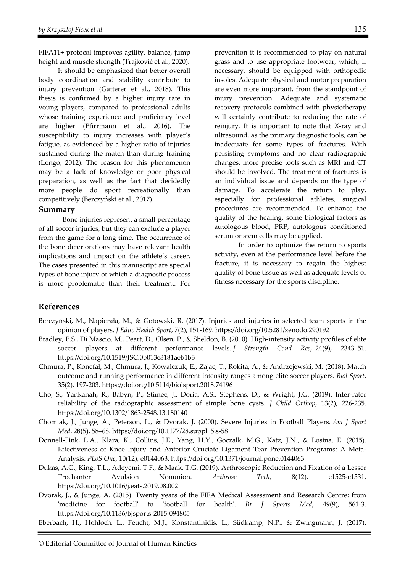FIFA11+ protocol improves agility, balance, jump height and muscle strength (Trajković et al., 2020).

It should be emphasized that better overall body coordination and stability contribute to injury prevention (Gatterer et al., 2018). This thesis is confirmed by a higher injury rate in young players, compared to professional adults whose training experience and proficiency level are higher (Pfirrmann et al., 2016). The susceptibility to injury increases with player's fatigue, as evidenced by a higher ratio of injuries sustained during the match than during training (Longo, 2012). The reason for this phenomenon may be a lack of knowledge or poor physical preparation, as well as the fact that decidedly more people do sport recreationally than competitively (Berczyński et al., 2017).

#### **Summary**

Bone injuries represent a small percentage of all soccer injuries, but they can exclude a player from the game for a long time. The occurrence of the bone deteriorations may have relevant health implications and impact on the athlete's career. The cases presented in this manuscript are special types of bone injury of which a diagnostic process is more problematic than their treatment. For

prevention it is recommended to play on natural grass and to use appropriate footwear, which, if necessary, should be equipped with orthopedic insoles. Adequate physical and motor preparation are even more important, from the standpoint of injury prevention. Adequate and systematic recovery protocols combined with physiotherapy will certainly contribute to reducing the rate of reinjury. It is important to note that X-ray and ultrasound, as the primary diagnostic tools, can be inadequate for some types of fractures. With persisting symptoms and no clear radiographic changes, more precise tools such as MRI and CT should be involved. The treatment of fractures is an individual issue and depends on the type of damage. To accelerate the return to play, especially for professional athletes, surgical procedures are recommended. To enhance the quality of the healing, some biological factors as autologous blood, PRP, autologous conditioned serum or stem cells may be applied.

In order to optimize the return to sports activity, even at the performance level before the fracture, it is necessary to regain the highest quality of bone tissue as well as adequate levels of fitness necessary for the sports discipline.

## **References**

- Berczyński, M., Napierała, M., & Gotowski, R. (2017). Injuries and injuries in selected team sports in the opinion of players. *J Educ Health Sport*, 7(2), 151-169. https://doi.org/10.5281/zenodo.290192
- Bradley, P.S., Di Mascio, M., Peart, D., Olsen, P., & Sheldon, B. (2010). High-intensity activity profiles of elite soccer players at different performance levels. *J Strength Cond Res*, 24(9), 2343–51. https://doi.org/10.1519/JSC.0b013e3181aeb1b3
- Chmura, P., Konefał, M., Chmura, J., Kowalczuk, E., Zając, T., Rokita, A., & Andrzejewski, M. (2018). Match outcome and running performance in different intensity ranges among elite soccer players. *Biol Sport*, 35(2), 197-203. https://doi.org/10.5114/biolsport.2018.74196
- Cho, S., Yankanah, R., Babyn, P., Stimec, J., Doria, A.S., Stephens, D., & Wright, J.G. (2019). Inter-rater reliability of the radiographic assessment of simple bone cysts. *J Child Orthop*, 13(2), 226-235. https://doi.org/10.1302/1863-2548.13.180140
- Chomiak, J., Junge, A., Peterson, L., & Dvorak, J. (2000). Severe Injuries in Football Players. *Am J Sport Med*, 28(5), 58–68. https://doi.org/10.1177/28.suppl\_5.s-58
- Donnell-Fink, L.A., Klara, K., Collins, J.E., Yang, H.Y., Goczalk, M.G., Katz, J.N., & Losina, E. (2015). Effectiveness of Knee Injury and Anterior Cruciate Ligament Tear Prevention Programs: A Meta-Analysis. *PLoS One*, 10(12), e0144063. https://doi.org/10.1371/journal.pone.0144063
- Dukas, A.G., King, T.L., Adeyemi, T.F., & Maak, T.G. (2019). Arthroscopic Reduction and Fixation of a Lesser Trochanter Avulsion Nonunion. *Arthrosc Tech*, 8(12), e1525-e1531. https://doi.org/10.1016/j.eats.2019.08.002
- Dvorak, J., & Junge, A. (2015). Twenty years of the FIFA Medical Assessment and Research Centre: from 'medicine for football' to 'football for health'. *Br J Sports Med*, 49(9), 561-3. https://doi.org/10.1136/bjsports-2015-094805

Eberbach, H., Hohloch, L., Feucht, M.J., Konstantinidis, L., Südkamp, N.P., & Zwingmann, J. (2017).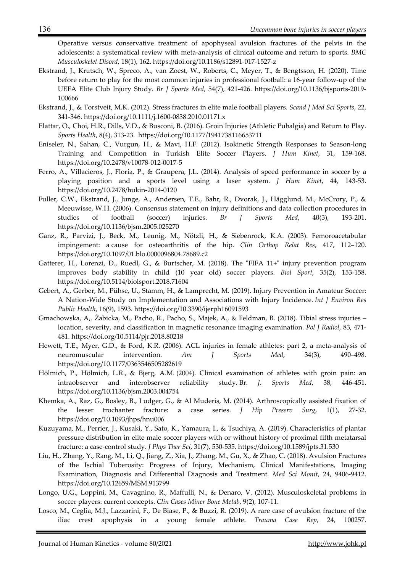Operative versus conservative treatment of apophyseal avulsion fractures of the pelvis in the adolescents: a systematical review with meta-analysis of clinical outcome and return to sports. *BMC Musculoskelet Disord*, 18(1), 162. https://doi.org/10.1186/s12891-017-1527-z

- Ekstrand, J., Krutsch, W., Spreco, A., van Zoest, W., Roberts, C., Meyer, T., & Bengtsson, H. (2020). Time before return to play for the most common injuries in professional football: a 16-year follow-up of the UEFA Elite Club Injury Study. *Br J Sports Med*, 54(7), 421-426. https://doi.org/10.1136/bjsports-2019- 100666
- Ekstrand, J., & Torstveit, M.K. (2012). Stress fractures in elite male football players. *Scand J Med Sci Sports*, 22, 341-346. https://doi.org/10.1111/j.1600-0838.2010.01171.x
- Elattar, O., Choi, H.R., Dills, V.D., & Busconi, B. (2016). Groin Injuries (Athletic Pubalgia) and Return to Play. *Sports Health*, 8(4), 313-23. https://doi.org/10.1177/1941738116653711
- Eniseler, N., Sahan, C., Vurgun, H., & Mavi, H.F. (2012). Isokinetic Strength Responses to Season-long Training and Competition in Turkish Elite Soccer Players. *J Hum Kinet*, 31, 159-168. https://doi.org/10.2478/v10078-012-0017-5
- Ferro, A., Villacieros, J., Floría, P., & Graupera, J.L. (2014). Analysis of speed performance in soccer by a playing position and a sports level using a laser system. *J Hum Kinet*, 44, 143-53. https://doi.org/10.2478/hukin-2014-0120
- Fuller, C.W., Ekstrand, J., Junge, A., Andersen, T.E., Bahr, R., Dvorak, J., Hägglund, M., McCrory, P., & Meeuwisse, W.H. (2006). Consensus statement on injury definitions and data collection procedures in studies of football (soccer) injuries. *Br J Sports Med*, 40(3), 193-201. https://doi.org/10.1136/bjsm.2005.025270
- Ganz, R., Parvizi, J., Beck, M., Leunig, M., Nötzli, H., & Siebenrock, K.A. (2003). Femoroacetabular impingement: a cause for osteoarthritis of the hip. *Clin Orthop Relat Res*, 417, 112–120. https://doi.org/10.1097/01.blo.0000096804.78689.c2
- Gatterer, H., Lorenzi, D., Ruedl, G., & Burtscher, M. (2018). The "FIFA 11+" injury prevention program improves body stability in child (10 year old) soccer players. *Biol Sport*, 35(2), 153-158. https://doi.org/10.5114/biolsport.2018.71604
- Gebert, A., Gerber, M., Pühse, U., Stamm, H., & Lamprecht, M. (2019). Injury Prevention in Amateur Soccer: A Nation-Wide Study on Implementation and Associations with Injury Incidence. *Int J Environ Res Public Health*, 16(9), 1593. https://doi.org/10.3390/ijerph16091593
- Gmachowska, A,. Żabicka, M., Pacho, R., Pacho, S., Majek, A., & Feldman, B. (2018). Tibial stress injuries location, severity, and classification in magnetic resonance imaging examination. *Pol J Radiol*, 83, 471- 481. https://doi.org/10.5114/pjr.2018.80218
- Hewett, T.E., Myer, G.D., & Ford, K.R. (2006). ACL injuries in female athletes: part 2, a meta-analysis of neuromuscular intervention. *Am J Sports Med*, 34(3), 490–498. https://doi.org/10.1177/0363546505282619
- Hölmich, P., Hölmich, L.R., & Bjerg, A.M. (2004). Clinical examination of athletes with groin pain: an intraobserver and interobserver reliability study*.* Br. *J. Sports Med*, 38, 446-451. https://doi.org/10.1136/bjsm.2003.004754
- Khemka, A., Raz, G., Bosley, B., Ludger, G., & Al Muderis, M. (2014). Arthroscopically assisted fixation of the lesser trochanter fracture: a case series. *J Hip Preserv Surg*, 1(1), 27-32. https://doi.org/10.1093/jhps/hnu006
- Kuzuyama, M., Perrier, J., Kusaki, Y., Sato, K., Yamaura, I., & Tsuchiya, A. (2019). Characteristics of plantar pressure distribution in elite male soccer players with or without history of proximal fifth metatarsal fracture: a case-control study. *J Phys Ther Sci*, 31(7), 530-535. https://doi.org/10.1589/jpts.31.530
- Liu, H., Zhang, Y., Rang, M., Li, Q., Jiang, Z., Xia, J., Zhang, M., Gu, X., & Zhao, C. (2018). Avulsion Fractures of the Ischial Tuberosity: Progress of Injury, Mechanism, Clinical Manifestations, Imaging Examination, Diagnosis and Differential Diagnosis and Treatment. *Med Sci Monit*, 24, 9406-9412. https://doi.org/10.12659/MSM.913799
- Longo, U.G., Loppini, M., Cavagnino, R., Maffulli, N., & Denaro, V. (2012). Musculoskeletal problems in soccer players: current concepts. *Clin Cases Miner Bone Metab*, 9(2), 107-11.
- Losco, M., Ceglia, M.J., Lazzarini, F., De Biase, P., & Buzzi, R. (2019). A rare case of avulsion fracture of the iliac crest apophysis in a young female athlete. *Trauma Case Rep*, 24, 100257.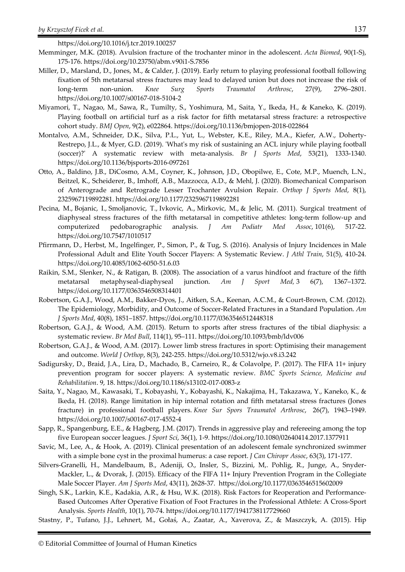https://doi.org/10.1016/j.tcr.2019.100257

- Memminger, M.K. (2018). Avulsion fracture of the trochanter minor in the adolescent. *Acta Biomed*, 90(1-S), 175-176. https://doi.org/10.23750/abm.v90i1-S.7856
- Miller, D., Marsland, D., Jones, M., & Calder, J. (2019). Early return to playing professional football following fixation of 5th metatarsal stress fractures may lead to delayed union but does not increase the risk of long-term non-union. *Knee Surg Sports Traumatol Arthrosc*, 27(9), 2796–2801. https://doi.org/10.1007/s00167-018-5104-2
- Miyamori, T., Nagao, M., Sawa, R., Tumilty, S., Yoshimura, M., Saita, Y., Ikeda, H., & Kaneko, K. (2019). Playing football on artificial turf as a risk factor for fifth metatarsal stress fracture: a retrospective cohort study. *BMJ Open*, 9(2), e022864. https://doi.org/10.1136/bmjopen-2018-022864
- Montalvo, A.M., Schneider, D.K., Silva, P.L., Yut, L., Webster, K.E., Riley, M.A., Kiefer, A.W., Doherty-Restrepo, J.L., & Myer, G.D. (2019). 'What's my risk of sustaining an ACL injury while playing football (soccer)?' A systematic review with meta-analysis. *Br J Sports Med*, 53(21), 1333-1340. https://doi.org/10.1136/bjsports-2016-097261
- Otto, A., Baldino, J.B., DiCosmo, A.M., Coyner, K., Johnson, J.D., Obopilwe, E., Cote, M.P., Muench, L.N., Beitzel, K., Scheiderer, B., Imhoff, A.B., Mazzocca, A.D., & Mehl, J. (2020). Biomechanical Comparison of Anterograde and Retrograde Lesser Trochanter Avulsion Repair. *Orthop J Sports Med*, 8(1), 2325967119892281. https://doi.org/10.1177/2325967119892281
- Pecina, M., Bojanic, I., Smoljanovic, T., Ivkovic, A., Mirkovic, M., & Jelic, M. (2011). Surgical treatment of diaphyseal stress fractures of the fifth metatarsal in competitive athletes: long-term follow-up and computerized pedobarographic analysis. *J Am Podiatr Med Assoc*, 101(6), 517-22. https://doi.org/10.7547/1010517
- Pfirrmann, D., Herbst, M., Ingelfinger, P., Simon, P., & Tug, S. (2016). Analysis of Injury Incidences in Male Professional Adult and Elite Youth Soccer Players: A Systematic Review. *J Athl Train*, 51(5), 410-24. https://doi.org/10.4085/1062-6050-51.6.03
- Raikin, S.M., Slenker, N., & Ratigan, B. (2008). The association of a varus hindfoot and fracture of the fifth metatarsal metaphyseal-diaphyseal junction. *Am J Sport Med,* 3 6(7), 1367–1372. https://doi.org/10.1177/0363546508314401
- Robertson, G.A.J., Wood, A.M., Bakker-Dyos, J., Aitken, S.A., Keenan, A.C.M., & Court-Brown, C.M. (2012). The Epidemiology, Morbidity, and Outcome of Soccer-Related Fractures in a Standard Population. *Am J Sports Med*, 40(8), 1851–1857. https://doi.org/10.1177/0363546512448318
- Robertson, G.A.J., & Wood, A.M. (2015). Return to sports after stress fractures of the tibial diaphysis: a systematic review. *Br Med Bull*, 114(1), 95–111. https://doi.org/10.1093/bmb/ldv006
- Robertson, G.A.J., & Wood, A.M. (2017). Lower limb stress fractures in sport: Optimising their management and outcome. *World J Orthop*, 8(3), 242-255. https://doi.org/10.5312/wjo.v8.i3.242
- Sadigursky, D., Braid, J.A., Lira, D., Machado, B., Carneiro, R., & Colavolpe, P. (2017). The FIFA 11+ injury prevention program for soccer players: A systematic review. *BMC Sports Science, Medicine and Rehabilitation*. 9, 18. https://doi.org/10.1186/s13102-017-0083-z
- Saita, Y., Nagao, M., Kawasaki, T., Kobayashi, Y., Kobayashi, K., Nakajima, H., Takazawa, Y., Kaneko, K., & Ikeda, H. (2018). Range limitation in hip internal rotation and fifth metatarsal stress fractures (Jones fracture) in professional football players. *Knee Sur Spors Traumatol Arthrosc*, 26(7), 1943–1949. https://doi.org/10.1007/s00167-017-4552-4
- Sapp, R., Spangenburg, E.E., & Hagberg, J.M. (2017). Trends in aggressive play and refereeing among the top five European soccer leagues. *J Sport Sci*, 36(1), 1-9. https://doi.org/10.1080/02640414.2017.1377911
- Savic, M., Lee, A., & Hook, A. (2019). Clinical presentation of an adolescent female synchronized swimmer with a simple bone cyst in the proximal humerus: a case report. *J Can Chiropr Assoc*, 63(3), 171-177.
- Silvers-Granelli, H., Mandelbaum, B., Adeniji, O., Insler, S., Bizzini, M,. Pohlig, R., Junge, A., Snyder-Mackler, L., & Dvorak, J. (2015). Efficacy of the FIFA 11+ Injury Prevention Program in the Collegiate Male Soccer Player. *Am J Sports Med*, 43(11), 2628-37. https://doi.org/10.1177/0363546515602009
- Singh, S.K., Larkin, K.E., Kadakia, A.R., & Hsu, W.K. (2018). Risk Factors for Reoperation and Performance-Based Outcomes After Operative Fixation of Foot Fractures in the Professional Athlete: A Cross-Sport Analysis. *Sports Health*, 10(1), 70-74. https://doi.org/10.1177/1941738117729660
- Stastny, P., Tufano, J.J., Lehnert, M., Gołaś, A., Zaatar, A., Xaverova, Z., & Maszczyk, A. (2015). Hip